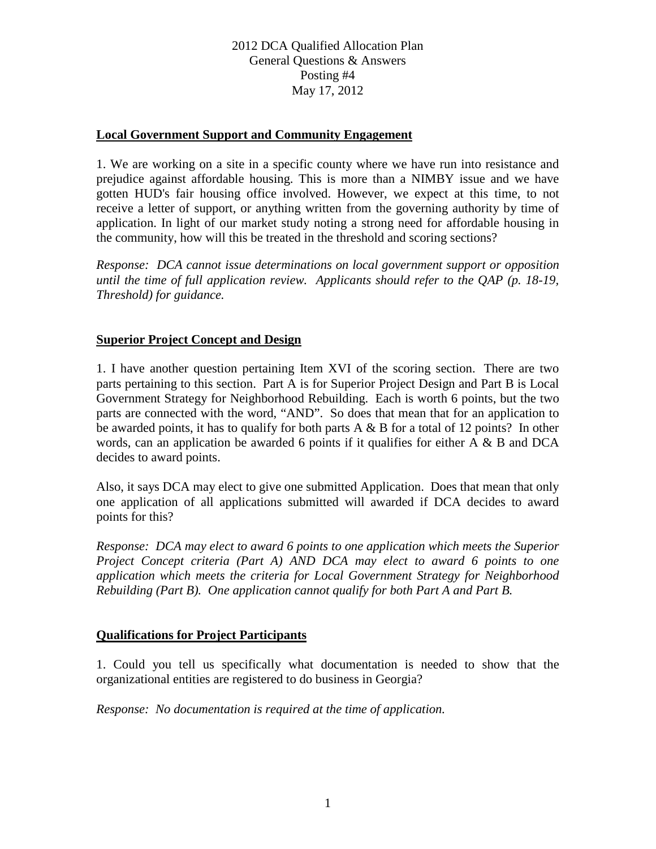# 2012 DCA Qualified Allocation Plan General Questions & Answers Posting #4 May 17, 2012

### **Local Government Support and Community Engagement**

1. We are working on a site in a specific county where we have run into resistance and prejudice against affordable housing. This is more than a NIMBY issue and we have gotten HUD's fair housing office involved. However, we expect at this time, to not receive a letter of support, or anything written from the governing authority by time of application. In light of our market study noting a strong need for affordable housing in the community, how will this be treated in the threshold and scoring sections?

*Response: DCA cannot issue determinations on local government support or opposition until the time of full application review. Applicants should refer to the QAP (p. 18-19, Threshold) for guidance.*

# **Superior Project Concept and Design**

1. I have another question pertaining Item XVI of the scoring section. There are two parts pertaining to this section. Part A is for Superior Project Design and Part B is Local Government Strategy for Neighborhood Rebuilding. Each is worth 6 points, but the two parts are connected with the word, "AND". So does that mean that for an application to be awarded points, it has to qualify for both parts  $A \& B$  for a total of 12 points? In other words, can an application be awarded 6 points if it qualifies for either A & B and DCA decides to award points.

Also, it says DCA may elect to give one submitted Application. Does that mean that only one application of all applications submitted will awarded if DCA decides to award points for this?

*Response: DCA may elect to award 6 points to one application which meets the Superior Project Concept criteria (Part A) AND DCA may elect to award 6 points to one application which meets the criteria for Local Government Strategy for Neighborhood Rebuilding (Part B). One application cannot qualify for both Part A and Part B.*

#### **Qualifications for Project Participants**

1. Could you tell us specifically what documentation is needed to show that the organizational entities are registered to do business in Georgia?

*Response: No documentation is required at the time of application.*